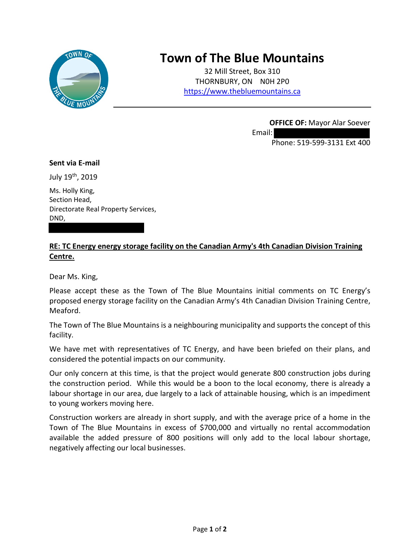

## **Town of The Blue Mountains**

32 Mill Street, Box 310 THORNBURY, ON N0H 2P0 [https://www.thebluemountains.ca](https://www.thebluemountains.ca/)

Email:

**OFFICE OF:** Mayor Alar Soever

Phone: 519-599-3131 Ext 400

## **Sent via E-mail**

July 19th, 2019

Ms. Holly King, Section Head, Directorate Real Property Services, DND,

## **RE: TC Energy energy storage facility on the Canadian Army's 4th Canadian Division Training Centre.**

Dear Ms. King,

Please accept these as the Town of The Blue Mountains initial comments on TC Energy's proposed energy storage facility on the Canadian Army's 4th Canadian Division Training Centre, Meaford.

The Town of The Blue Mountains is a neighbouring municipality and supports the concept of this facility.

We have met with representatives of TC Energy, and have been briefed on their plans, and considered the potential impacts on our community.

Our only concern at this time, is that the project would generate 800 construction jobs during the construction period. While this would be a boon to the local economy, there is already a labour shortage in our area, due largely to a lack of attainable housing, which is an impediment to young workers moving here.

Construction workers are already in short supply, and with the average price of a home in the Town of The Blue Mountains in excess of \$700,000 and virtually no rental accommodation available the added pressure of 800 positions will only add to the local labour shortage, negatively affecting our local businesses.